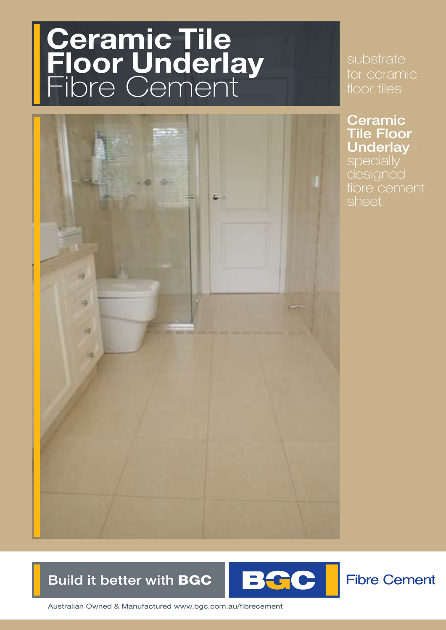# **Ceramic Tile Floor Underlay** Fibre Cement



## substrate for ceramic floor tiles

Ceramic Tile Floor Underlay designed fibre cement sheet

## Build it better with BGC



**Fibre Cement** 

Australian Owned & Manufactured www.bgc.com.au/fibrecement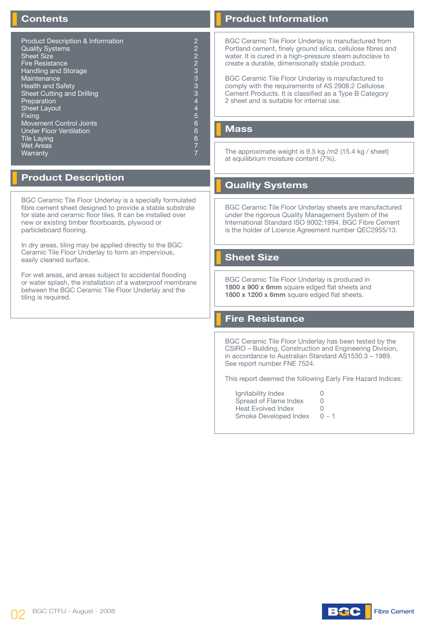## **Contents**

Product Description & Information 2<br>2 Quality Systems 2<br>2 Sheet Size 2 Quality Systems 2 Sheet Size 2<br>
Fire Resistance 2<br>
Handling and Storage 2<br>
Maintenance 3<br>
Health and Safety 3<br>
Sheet Cutting and Drilling 2<br>
Preparation 4<br>
Sheet Layout 4<br>
Fixing 5<br>
Movement Control Joints 6 Fire Resistance 2 Handling and Storage 3 and 3 and 3 and 3 and 3 and 3 and 3 and 3 and 3 and 3 and 3 and 3 and 3 and 3 and 3 and 3  $\beta$ Maintenance **Health and Safety** Sheet Cutting and Drilling Preparation **4** Sheet Layout 4 **Fixing** Movement Control Joints 6<br>
Under Floor Ventilation 6 Under Floor Ventilation 6<br>Tile Laying 6 Tile Laying 6 Wet Areas 7 (1999) and 2008 and 2009 and 2009 and 2009 and 2009 and 2009 and 2009 and 2009  $\,$ Warranty 7 and 2008 and 2008 and 2008 and 2008 and 2008 and 2008 and 2008 and 2008 and 2008 and 2008 and 2008  $\sigma$ 

## **Product Description**

BGC Ceramic Tile Floor Underlay is a specially formulated fibre cement sheet designed to provide a stable substrate for slate and ceramic floor tiles. It can be installed over new or existing timber floorboards, plywood or particleboard flooring.

In dry areas, tiling may be applied directly to the BGC Ceramic Tile Floor Underlay to form an impervious, easily cleaned surface.

For wet areas, and areas subject to accidental flooding or water splash, the installation of a waterproof membrane between the BGC Ceramic Tile Floor Underlay and the tiling is required.

## **Product Information**

BGC Ceramic Tile Floor Underlay is manufactured from Portland cement, finely ground silica, cellulose fibres and water. It is cured in a high-pressure steam autoclave to create a durable, dimensionally stable product.

BGC Ceramic Tile Floor Underlay is manufactured to comply with the requirements of AS 2908.2 Cellulose Cement Products. It is classified as a Type B Category 2 sheet and is suitable for internal use.

## **Mass**

The approximate weight is 9.5 kg /m2 (15.4 kg / sheet) at equilibrium moisture content (7%).

## **Quality Systems**

BGC Ceramic Tile Floor Underlay sheets are manufactured under the rigorous Quality Management System of the International Standard ISO 9002:1994. BGC Fibre Cement is the holder of Licence Agreement number QEC2955/13.

## **Sheet Size**

BGC Ceramic Tile Floor Underlay is produced in **1800 x 900 x 6mm** square edged flat sheets and **1800 x 1200 x 6mm** square edged flat sheets.

### **Fire Resistance**

BGC Ceramic Tile Floor Underlay has been tested by the CSIRO – Building, Construction and Engineering Division, in accordance to Australian Standard AS1530.3 – 1989. See report number FNE 7524.

This report deemed the following Early Fire Hazard Indices:

| Ignitability Index        | $\cap$     |
|---------------------------|------------|
| Spread of Flame Index     | $\cap$     |
| <b>Heat Evolved Index</b> | $\cap$     |
| Smoke Developed Index     | $0 \sim 1$ |



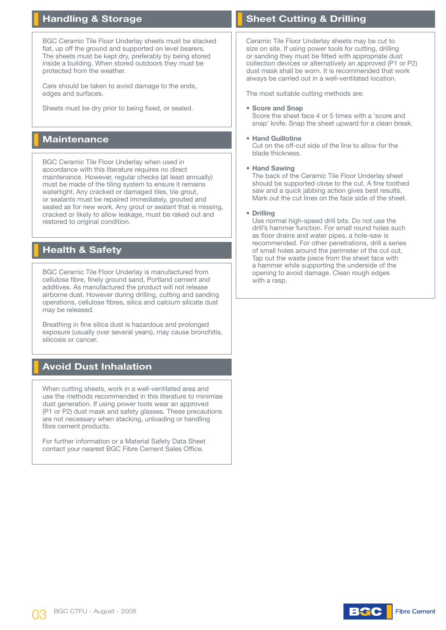## **Handling & Storage**

BGC Ceramic Tile Floor Underlay sheets must be stacked flat, up off the ground and supported on level bearers. The sheets must be kept dry, preferably by being stored inside a building. When stored outdoors they must be protected from the weather.

Care should be taken to avoid damage to the ends, edges and surfaces.

Sheets must be dry prior to being fixed, or sealed.

### **Maintenance**

BGC Ceramic Tile Floor Underlay when used in accordance with this literature requires no direct maintenance. However, regular checks (at least annually) must be made of the tiling system to ensure it remains watertight. Any cracked or damaged tiles, tile grout, or sealants must be repaired immediately, grouted and sealed as for new work. Any grout or sealant that is missing, cracked or likely to allow leakage, must be raked out and restored to original condition.

## **Health & Safety**

BGC Ceramic Tile Floor Underlay is manufactured from cellulose fibre, finely ground sand, Portland cement and additives. As manufactured the product will not release airborne dust. However during drilling, cutting and sanding operations, cellulose fibres, silica and calcium silicate dust may be released.

Breathing in fine silica dust is hazardous and prolonged exposure (usually over several years), may cause bronchitis, silicosis or cancer.

## **Avoid Dust Inhalation**

When cutting sheets, work in a well-ventilated area and use the methods recommended in this literature to minimise dust generation. If using power tools wear an approved (P1 or P2) dust mask and safety glasses. These precautions are not necessary when stacking, unloading or handling fibre cement products.

For further information or a Material Safety Data Sheet contact your nearest BGC Fibre Cement Sales Office.

## **Sheet Cutting & Drilling**

Ceramic Tile Floor Underlay sheets may be cut to size on site. If using power tools for cutting, drilling or sanding they must be fitted with appropriate dust collection devices or alternatively an approved (P1 or P2) dust mask shall be worn. It is recommended that work always be carried out in a well-ventilated location.

The most suitable cutting methods are:

#### **• Score and Snap**

Score the sheet face 4 or 5 times with a 'score and snap' knife. Snap the sheet upward for a clean break.

#### **• Hand Guillotine**

Cut on the off-cut side of the line to allow for the blade thickness.

#### **• Hand Sawing**

The back of the Ceramic Tile Floor Underlay sheet should be supported close to the cut. A fine toothed saw and a quick jabbing action gives best results. Mark out the cut lines on the face side of the sheet.

#### **• Drilling**

Use normal high-speed drill bits. Do not use the drill's hammer function. For small round holes such as floor drains and water pipes, a hole-saw is recommended. For other penetrations, drill a series of small holes around the perimeter of the cut out. Tap out the waste piece from the sheet face with a hammer while supporting the underside of the opening to avoid damage. Clean rough edges with a rasp.

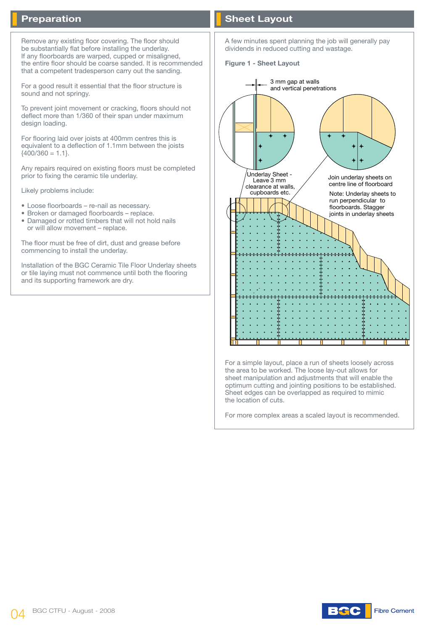Remove any existing floor covering. The floor should be substantially flat before installing the underlay. If any floorboards are warped, cupped or misaligned, the entire floor should be coarse sanded. It is recommended that a competent tradesperson carry out the sanding.

For a good result it essential that the floor structure is sound and not springy.

To prevent joint movement or cracking, floors should not deflect more than 1/360 of their span under maximum design loading.

For flooring laid over joists at 400mm centres this is equivalent to a deflection of 1.1mm between the joists  ${400/360 = 1.1}.$ 

Any repairs required on existing floors must be completed prior to fixing the ceramic tile underlay.

Likely problems include:

- Loose floorboards re-nail as necessary.
- Broken or damaged floorboards replace.
- Damaged or rotted timbers that will not hold nails or will allow movement – replace.

The floor must be free of dirt, dust and grease before commencing to install the underlay.

Installation of the BGC Ceramic Tile Floor Underlay sheets or tile laying must not commence until both the flooring and its supporting framework are dry.

## **Preparation Sheet Layout**

A few minutes spent planning the job will generally pay dividends in reduced cutting and wastage.

**Figure 1 - Sheet Layout**



For a simple layout, place a run of sheets loosely across the area to be worked. The loose lay-out allows for sheet manipulation and adjustments that will enable the optimum cutting and jointing positions to be established. Sheet edges can be overlapped as required to mimic the location of cuts.

For more complex areas a scaled layout is recommended.



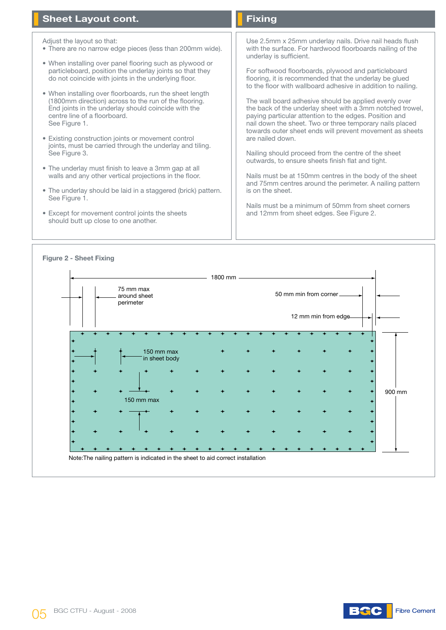## **Sheet Layout cont.**

## **Fixing**

Adjust the layout so that:

- There are no narrow edge pieces (less than 200mm wide).
- When installing over panel flooring such as plywood or particleboard, position the underlay joints so that they do not coincide with joints in the underlying floor.
- • When installing over floorboards, run the sheet length (1800mm direction) across to the run of the flooring. End joints in the underlay should coincide with the centre line of a floorboard. See Figure 1.
- Existing construction joints or movement control joints, must be carried through the underlay and tiling. See Figure 3.
- The underlay must finish to leave a 3mm gap at all walls and any other vertical projections in the floor.
- The underlay should be laid in a staggered (brick) pattern. See Figure 1.
- Except for movement control joints the sheets should butt up close to one another.

Use 2.5mm x 25mm underlay nails. Drive nail heads flush with the surface. For hardwood floorboards nailing of the underlay is sufficient.

For softwood floorboards, plywood and particleboard flooring, it is recommended that the underlay be glued to the floor with wallboard adhesive in addition to nailing.

The wall board adhesive should be applied evenly over the back of the underlay sheet with a 3mm notched trowel, paying particular attention to the edges. Position and nail down the sheet. Two or three temporary nails placed towards outer sheet ends will prevent movement as sheets are nailed down.

Nailing should proceed from the centre of the sheet outwards, to ensure sheets finish flat and tight.

Nails must be at 150mm centres in the body of the sheet and 75mm centres around the perimeter. A nailing pattern is on the sheet.

Nails must be a minimum of 50mm from sheet corners and 12mm from sheet edges. See Figure 2.





05 BGC CTFU - August - 2008

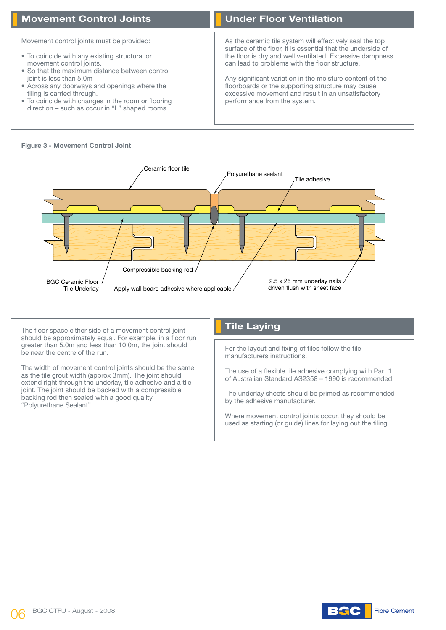## **Movement Control Joints**

## **Under Floor Ventilation**

Movement control joints must be provided:

- To coincide with any existing structural or movement control joints.
- So that the maximum distance between control joint is less than 5.0m
- • Across any doorways and openings where the tiling is carried through.
- • To coincide with changes in the room or flooring direction – such as occur in "L" shaped rooms

As the ceramic tile system will effectively seal the top surface of the floor, it is essential that the underside of the floor is dry and well ventilated. Excessive dampness can lead to problems with the floor structure.

Any significant variation in the moisture content of the floorboards or the supporting structure may cause excessive movement and result in an unsatisfactory performance from the system.



The floor space either side of a movement control joint should be approximately equal. For example, in a floor run greater than 5.0m and less than 10.0m, the joint should be near the centre of the run.

The width of movement control joints should be the same as the tile grout width (approx 3mm). The joint should extend right through the underlay, tile adhesive and a tile joint. The joint should be backed with a compressible backing rod then sealed with a good quality "Polyurethane Sealant".

## **Tile Laying**

For the layout and fixing of tiles follow the tile manufacturers instructions.

The use of a flexible tile adhesive complying with Part 1 of Australian Standard AS2358 – 1990 is recommended.

The underlay sheets should be primed as recommended by the adhesive manufacturer.

Where movement control joints occur, they should be used as starting (or guide) lines for laying out the tiling.



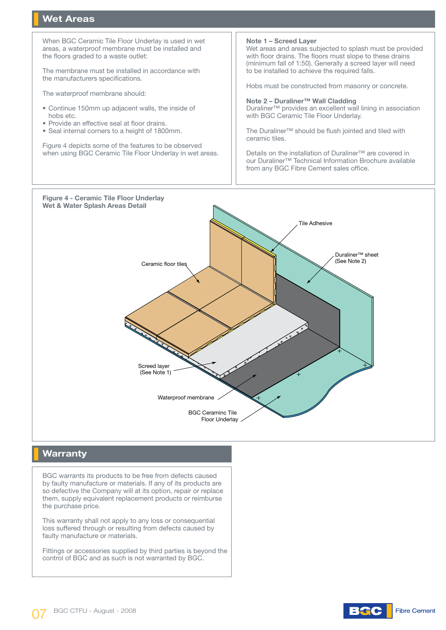## **Wet Areas**

When BGC Ceramic Tile Floor Underlay is used in wet areas, a waterproof membrane must be installed and the floors graded to a waste outlet:

The membrane must be installed in accordance with the manufacturers specifications.

The waterproof membrane should:

- • Continue 150mm up adjacent walls, the inside of hobs etc.
- Provide an effective seal at floor drains.
- • Seal internal corners to a height of 1800mm.

Figure 4 depicts some of the features to be observed when using BGC Ceramic Tile Floor Underlay in wet areas.

#### **Note 1 – Screed Layer**

Wet areas and areas subjected to splash must be provided with floor drains. The floors must slope to these drains (minimum fall of 1:50). Generally a screed layer will need to be installed to achieve the required falls.

Hobs must be constructed from masonry or concrete.

**Note 2 – Duraliner™ Wall Cladding** Duraliner™ provides an excellent wall lining in association with BGC Ceramic Tile Floor Underlay.

The Duraliner™ should be flush jointed and tiled with ceramic tiles.

Details on the installation of Duraliner™ are covered in our Duraliner™ Technical Information Brochure available from any BGC Fibre Cement sales office.



## **Warranty**

BGC warrants its products to be free from defects caused by faulty manufacture or materials. If any of its products are so defective the Company will at its option, repair or replace them, supply equivalent replacement products or reimburse the purchase price.

This warranty shall not apply to any loss or consequential loss suffered through or resulting from defects caused by faulty manufacture or materials.

Fittings or accessories supplied by third parties is beyond the control of BGC and as such is not warranted by BGC.